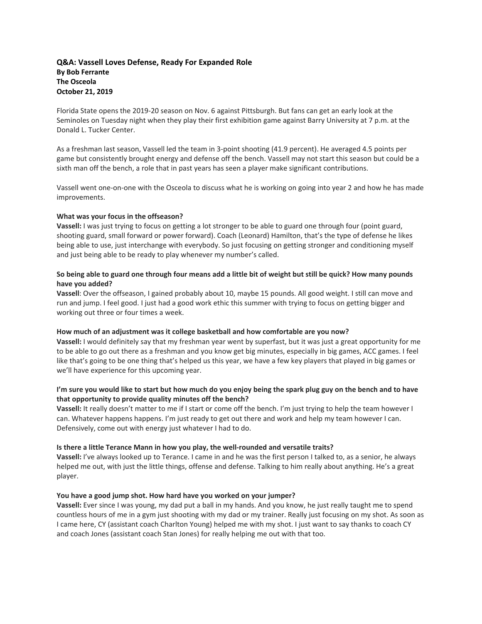# **Q&A: Vassell Loves Defense, Ready For Expanded Role By Bob Ferrante The Osceola October 21, 2019**

Florida State opens the 2019‐20 season on Nov. 6 against Pittsburgh. But fans can get an early look at the Seminoles on Tuesday night when they play their first exhibition game against Barry University at 7 p.m. at the Donald L. Tucker Center.

As a freshman last season, Vassell led the team in 3‐point shooting (41.9 percent). He averaged 4.5 points per game but consistently brought energy and defense off the bench. Vassell may not start this season but could be a sixth man off the bench, a role that in past years has seen a player make significant contributions.

Vassell went one‐on‐one with the Osceola to discuss what he is working on going into year 2 and how he has made improvements.

## **What was your focus in the offseason?**

**Vassell:** I was just trying to focus on getting a lot stronger to be able to guard one through four (point guard, shooting guard, small forward or power forward). Coach (Leonard) Hamilton, that's the type of defense he likes being able to use, just interchange with everybody. So just focusing on getting stronger and conditioning myself and just being able to be ready to play whenever my number's called.

# So being able to guard one through four means add a little bit of weight but still be quick? How many pounds **have you added?**

**Vassell**: Over the offseason, I gained probably about 10, maybe 15 pounds. All good weight. I still can move and run and jump. I feel good. I just had a good work ethic this summer with trying to focus on getting bigger and working out three or four times a week.

## **How much of an adjustment was it college basketball and how comfortable are you now?**

**Vassell:** I would definitely say that my freshman year went by superfast, but it was just a great opportunity for me to be able to go out there as a freshman and you know get big minutes, especially in big games, ACC games. I feel like that's going to be one thing that's helped us this year, we have a few key players that played in big games or we'll have experience for this upcoming year.

# I'm sure you would like to start but how much do you enjoy being the spark plug guy on the bench and to have **that opportunity to provide quality minutes off the bench?**

**Vassell:** It really doesn't matter to me if I start or come off the bench. I'm just trying to help the team however I can. Whatever happens happens. I'm just ready to get out there and work and help my team however I can. Defensively, come out with energy just whatever I had to do.

## **Is there a little Terance Mann in how you play, the well‐rounded and versatile traits?**

**Vassell:** I've always looked up to Terance. I came in and he was the first person I talked to, as a senior, he always helped me out, with just the little things, offense and defense. Talking to him really about anything. He's a great player.

## **You have a good jump shot. How hard have you worked on your jumper?**

**Vassell:** Ever since I was young, my dad put a ball in my hands. And you know, he just really taught me to spend countless hours of me in a gym just shooting with my dad or my trainer. Really just focusing on my shot. As soon as I came here, CY (assistant coach Charlton Young) helped me with my shot. I just want to say thanks to coach CY and coach Jones (assistant coach Stan Jones) for really helping me out with that too.